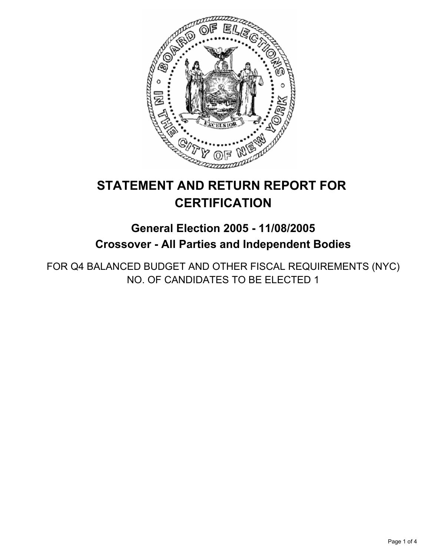

# **STATEMENT AND RETURN REPORT FOR CERTIFICATION**

## **General Election 2005 - 11/08/2005 Crossover - All Parties and Independent Bodies**

FOR Q4 BALANCED BUDGET AND OTHER FISCAL REQUIREMENTS (NYC) NO. OF CANDIDATES TO BE ELECTED 1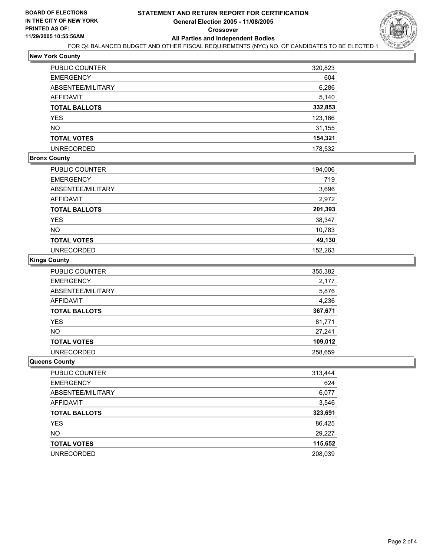

## **New York County**

| PUBLIC COUNTER       | 320,823 |
|----------------------|---------|
| EMERGENCY            | 604     |
| ABSENTEE/MILITARY    | 6,286   |
| AFFIDAVIT            | 5,140   |
| <b>TOTAL BALLOTS</b> | 332,853 |
| YES                  | 123,166 |
| NΟ                   | 31,155  |
| <b>TOTAL VOTES</b>   | 154,321 |
| UNRECORDED           | 178,532 |
|                      |         |

#### **Bronx County**

| PUBLIC COUNTER       | 194,006 |
|----------------------|---------|
| <b>EMERGENCY</b>     | 719     |
| ABSENTEE/MILITARY    | 3,696   |
| AFFIDAVIT            | 2,972   |
| <b>TOTAL BALLOTS</b> | 201,393 |
| <b>YES</b>           | 38,347  |
| <b>NO</b>            | 10,783  |
| <b>TOTAL VOTES</b>   | 49,130  |
| <b>UNRECORDED</b>    | 152.263 |

#### **Kings County**

| PUBLIC COUNTER       | 355,382 |
|----------------------|---------|
| <b>EMERGENCY</b>     | 2,177   |
| ABSENTEE/MILITARY    | 5,876   |
| <b>AFFIDAVIT</b>     | 4,236   |
| <b>TOTAL BALLOTS</b> | 367,671 |
| <b>YES</b>           | 81,771  |
| <b>NO</b>            | 27,241  |
| <b>TOTAL VOTES</b>   | 109,012 |
| <b>UNRECORDED</b>    | 258,659 |

#### **Queens County**

| <b>PUBLIC COUNTER</b> | 313,444 |
|-----------------------|---------|
| <b>EMERGENCY</b>      | 624     |
| ABSENTEE/MILITARY     | 6,077   |
| <b>AFFIDAVIT</b>      | 3,546   |
| <b>TOTAL BALLOTS</b>  | 323,691 |
| <b>YES</b>            | 86,425  |
| <b>NO</b>             | 29,227  |
| <b>TOTAL VOTES</b>    | 115,652 |
| <b>UNRECORDED</b>     | 208,039 |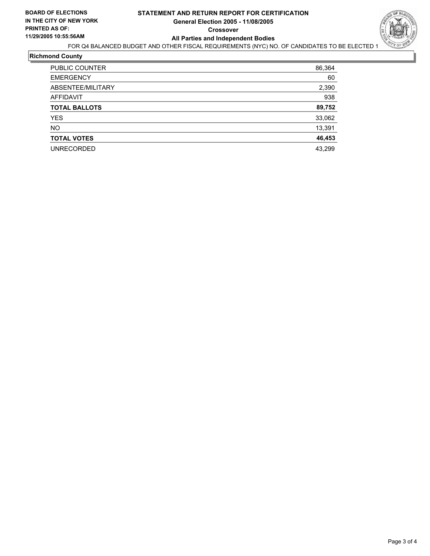

## **Richmond County**

| PUBLIC COUNTER       | 86,364 |
|----------------------|--------|
| <b>EMERGENCY</b>     | 60     |
| ABSENTEE/MILITARY    | 2,390  |
| AFFIDAVIT            | 938    |
| <b>TOTAL BALLOTS</b> | 89,752 |
| <b>YES</b>           | 33,062 |
| <b>NO</b>            | 13,391 |
| <b>TOTAL VOTES</b>   | 46,453 |
| <b>UNRECORDED</b>    | 43,299 |
|                      |        |